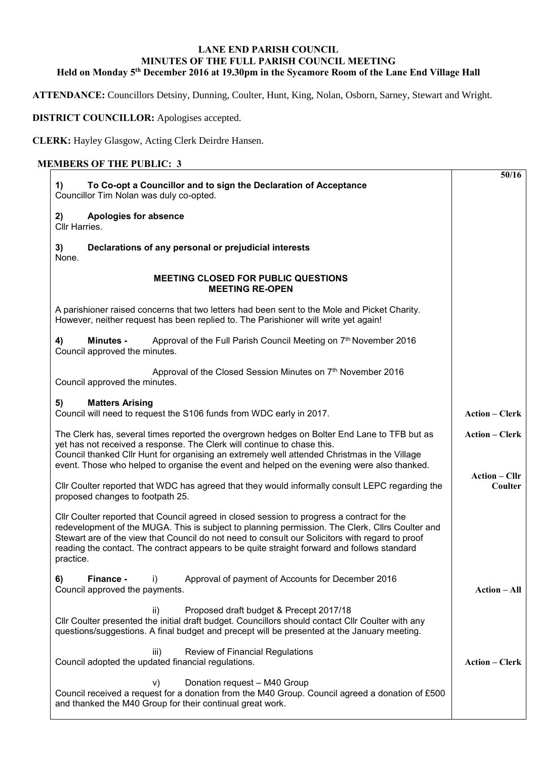## **LANE END PARISH COUNCIL MINUTES OF THE FULL PARISH COUNCIL MEETING Held on Monday 5th December 2016 at 19.30pm in the Sycamore Room of the Lane End Village Hall**

**ATTENDANCE:** Councillors Detsiny, Dunning, Coulter, Hunt, King, Nolan, Osborn, Sarney, Stewart and Wright.

**DISTRICT COUNCILLOR:** Apologises accepted.

**CLERK:** Hayley Glasgow, Acting Clerk Deirdre Hansen.

## **MEMBERS OF THE PUBLIC: 3**

|  | 50/16                                                                                                                                                                                                                                                                                                                                                                                                        |                                 |  |  |  |
|--|--------------------------------------------------------------------------------------------------------------------------------------------------------------------------------------------------------------------------------------------------------------------------------------------------------------------------------------------------------------------------------------------------------------|---------------------------------|--|--|--|
|  | <b>Apologies for absence</b><br>2)<br>Cllr Harries.                                                                                                                                                                                                                                                                                                                                                          |                                 |  |  |  |
|  | Declarations of any personal or prejudicial interests<br>3)<br>None.                                                                                                                                                                                                                                                                                                                                         |                                 |  |  |  |
|  | <b>MEETING CLOSED FOR PUBLIC QUESTIONS</b><br><b>MEETING RE-OPEN</b>                                                                                                                                                                                                                                                                                                                                         |                                 |  |  |  |
|  | A parishioner raised concerns that two letters had been sent to the Mole and Picket Charity.<br>However, neither request has been replied to. The Parishioner will write yet again!                                                                                                                                                                                                                          |                                 |  |  |  |
|  | 4)<br>Approval of the Full Parish Council Meeting on 7th November 2016<br><b>Minutes -</b><br>Council approved the minutes.                                                                                                                                                                                                                                                                                  |                                 |  |  |  |
|  | Approval of the Closed Session Minutes on 7th November 2016<br>Council approved the minutes.                                                                                                                                                                                                                                                                                                                 |                                 |  |  |  |
|  | 5)<br><b>Matters Arising</b><br>Council will need to request the S106 funds from WDC early in 2017.                                                                                                                                                                                                                                                                                                          | <b>Action – Clerk</b>           |  |  |  |
|  | <b>Action - Clerk</b>                                                                                                                                                                                                                                                                                                                                                                                        |                                 |  |  |  |
|  | Cllr Coulter reported that WDC has agreed that they would informally consult LEPC regarding the<br>proposed changes to footpath 25.                                                                                                                                                                                                                                                                          | <b>Action – Cllr</b><br>Coulter |  |  |  |
|  | CIIr Coulter reported that Council agreed in closed session to progress a contract for the<br>redevelopment of the MUGA. This is subject to planning permission. The Clerk, Cllrs Coulter and<br>Stewart are of the view that Council do not need to consult our Solicitors with regard to proof<br>reading the contact. The contract appears to be quite straight forward and follows standard<br>practice. |                                 |  |  |  |
|  | 6)<br>Finance -<br>Approval of payment of Accounts for December 2016<br>i)<br>Council approved the payments.                                                                                                                                                                                                                                                                                                 | <b>Action – All</b>             |  |  |  |
|  | Proposed draft budget & Precept 2017/18<br>ii)<br>Cllr Coulter presented the initial draft budget. Councillors should contact Cllr Coulter with any<br>questions/suggestions. A final budget and precept will be presented at the January meeting.                                                                                                                                                           |                                 |  |  |  |
|  | Review of Financial Regulations<br>iii)<br>Council adopted the updated financial regulations.                                                                                                                                                                                                                                                                                                                | <b>Action – Clerk</b>           |  |  |  |
|  | Donation request - M40 Group<br>V)<br>Council received a request for a donation from the M40 Group. Council agreed a donation of £500<br>and thanked the M40 Group for their continual great work.                                                                                                                                                                                                           |                                 |  |  |  |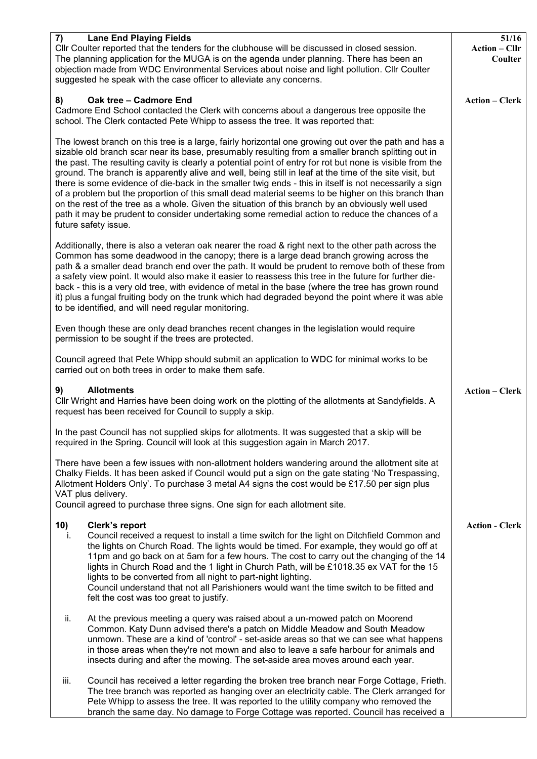| 7)<br><b>Lane End Playing Fields</b><br>Cllr Coulter reported that the tenders for the clubhouse will be discussed in closed session.<br>The planning application for the MUGA is on the agenda under planning. There has been an<br>objection made from WDC Environmental Services about noise and light pollution. Cllr Coulter<br>suggested he speak with the case officer to alleviate any concerns.                                                                                                                                                                                                                                                                                                                                                                                                                                                                         | 51/16<br><b>Action – Cllr</b><br>Coulter |  |  |  |  |
|----------------------------------------------------------------------------------------------------------------------------------------------------------------------------------------------------------------------------------------------------------------------------------------------------------------------------------------------------------------------------------------------------------------------------------------------------------------------------------------------------------------------------------------------------------------------------------------------------------------------------------------------------------------------------------------------------------------------------------------------------------------------------------------------------------------------------------------------------------------------------------|------------------------------------------|--|--|--|--|
| 8)<br>Oak tree - Cadmore End<br>Cadmore End School contacted the Clerk with concerns about a dangerous tree opposite the<br>school. The Clerk contacted Pete Whipp to assess the tree. It was reported that:                                                                                                                                                                                                                                                                                                                                                                                                                                                                                                                                                                                                                                                                     | <b>Action - Clerk</b>                    |  |  |  |  |
| The lowest branch on this tree is a large, fairly horizontal one growing out over the path and has a<br>sizable old branch scar near its base, presumably resulting from a smaller branch splitting out in<br>the past. The resulting cavity is clearly a potential point of entry for rot but none is visible from the<br>ground. The branch is apparently alive and well, being still in leaf at the time of the site visit, but<br>there is some evidence of die-back in the smaller twig ends - this in itself is not necessarily a sign<br>of a problem but the proportion of this small dead material seems to be higher on this branch than<br>on the rest of the tree as a whole. Given the situation of this branch by an obviously well used<br>path it may be prudent to consider undertaking some remedial action to reduce the chances of a<br>future safety issue. |                                          |  |  |  |  |
| Additionally, there is also a veteran oak nearer the road & right next to the other path across the<br>Common has some deadwood in the canopy; there is a large dead branch growing across the<br>path & a smaller dead branch end over the path. It would be prudent to remove both of these from<br>a safety view point. It would also make it easier to reassess this tree in the future for further die-<br>back - this is a very old tree, with evidence of metal in the base (where the tree has grown round<br>it) plus a fungal fruiting body on the trunk which had degraded beyond the point where it was able<br>to be identified, and will need regular monitoring.                                                                                                                                                                                                  |                                          |  |  |  |  |
| Even though these are only dead branches recent changes in the legislation would require<br>permission to be sought if the trees are protected.                                                                                                                                                                                                                                                                                                                                                                                                                                                                                                                                                                                                                                                                                                                                  |                                          |  |  |  |  |
| Council agreed that Pete Whipp should submit an application to WDC for minimal works to be<br>carried out on both trees in order to make them safe.                                                                                                                                                                                                                                                                                                                                                                                                                                                                                                                                                                                                                                                                                                                              |                                          |  |  |  |  |
| <b>Allotments</b><br>9)<br>CIIr Wright and Harries have been doing work on the plotting of the allotments at Sandyfields. A<br>request has been received for Council to supply a skip.                                                                                                                                                                                                                                                                                                                                                                                                                                                                                                                                                                                                                                                                                           | <b>Action - Clerk</b>                    |  |  |  |  |
| In the past Council has not supplied skips for allotments. It was suggested that a skip will be<br>required in the Spring. Council will look at this suggestion again in March 2017.                                                                                                                                                                                                                                                                                                                                                                                                                                                                                                                                                                                                                                                                                             |                                          |  |  |  |  |
| There have been a few issues with non-allotment holders wandering around the allotment site at<br>Chalky Fields. It has been asked if Council would put a sign on the gate stating 'No Trespassing,<br>Allotment Holders Only'. To purchase 3 metal A4 signs the cost would be £17.50 per sign plus<br>VAT plus delivery.<br>Council agreed to purchase three signs. One sign for each allotment site.                                                                                                                                                                                                                                                                                                                                                                                                                                                                           |                                          |  |  |  |  |
| 10)<br>Clerk's report<br>Council received a request to install a time switch for the light on Ditchfield Common and<br>Ť.<br>the lights on Church Road. The lights would be timed. For example, they would go off at<br>11pm and go back on at 5am for a few hours. The cost to carry out the changing of the 14<br>lights in Church Road and the 1 light in Church Path, will be £1018.35 ex VAT for the 15<br>lights to be converted from all night to part-night lighting.<br>Council understand that not all Parishioners would want the time switch to be fitted and<br>felt the cost was too great to justify.                                                                                                                                                                                                                                                             | <b>Action - Clerk</b>                    |  |  |  |  |
| ii.<br>At the previous meeting a query was raised about a un-mowed patch on Moorend<br>Common. Katy Dunn advised there's a patch on Middle Meadow and South Meadow<br>unmown. These are a kind of 'control' - set-aside areas so that we can see what happens<br>in those areas when they're not mown and also to leave a safe harbour for animals and<br>insects during and after the mowing. The set-aside area moves around each year.                                                                                                                                                                                                                                                                                                                                                                                                                                        |                                          |  |  |  |  |
| Council has received a letter regarding the broken tree branch near Forge Cottage, Frieth.<br>iii.<br>The tree branch was reported as hanging over an electricity cable. The Clerk arranged for<br>Pete Whipp to assess the tree. It was reported to the utility company who removed the<br>branch the same day. No damage to Forge Cottage was reported. Council has received a                                                                                                                                                                                                                                                                                                                                                                                                                                                                                                 |                                          |  |  |  |  |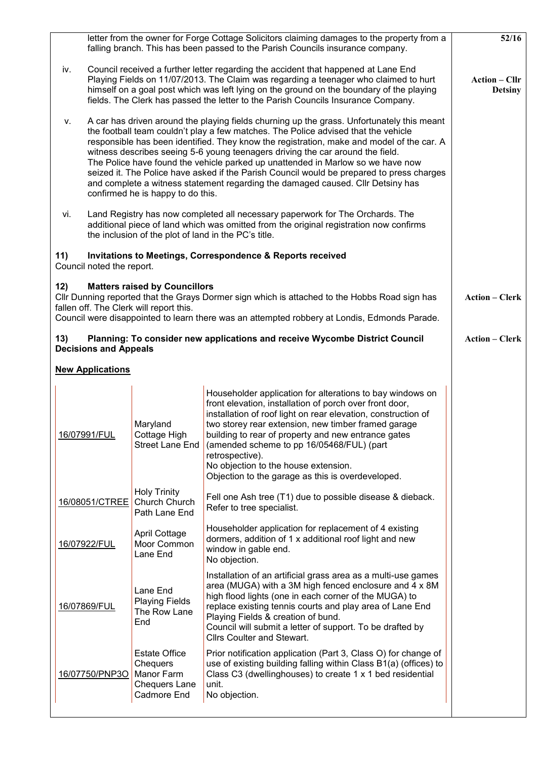|                                                                                                                                                                                                                                                                                         |                                                                                                                                                                                                                                                                                                                                                                                                                                                                                                                                                                                                                                                                         |                                                                                       | letter from the owner for Forge Cottage Solicitors claiming damages to the property from a<br>falling branch. This has been passed to the Parish Councils insurance company.                                                                                                                                                                                                                                                                                     | 52/16 |  |  |  |
|-----------------------------------------------------------------------------------------------------------------------------------------------------------------------------------------------------------------------------------------------------------------------------------------|-------------------------------------------------------------------------------------------------------------------------------------------------------------------------------------------------------------------------------------------------------------------------------------------------------------------------------------------------------------------------------------------------------------------------------------------------------------------------------------------------------------------------------------------------------------------------------------------------------------------------------------------------------------------------|---------------------------------------------------------------------------------------|------------------------------------------------------------------------------------------------------------------------------------------------------------------------------------------------------------------------------------------------------------------------------------------------------------------------------------------------------------------------------------------------------------------------------------------------------------------|-------|--|--|--|
| iv.                                                                                                                                                                                                                                                                                     | Council received a further letter regarding the accident that happened at Lane End<br>Playing Fields on 11/07/2013. The Claim was regarding a teenager who claimed to hurt<br>himself on a goal post which was left lying on the ground on the boundary of the playing<br>fields. The Clerk has passed the letter to the Parish Councils Insurance Company.                                                                                                                                                                                                                                                                                                             | <b>Action – Cllr</b><br><b>Detsiny</b>                                                |                                                                                                                                                                                                                                                                                                                                                                                                                                                                  |       |  |  |  |
| V.                                                                                                                                                                                                                                                                                      | A car has driven around the playing fields churning up the grass. Unfortunately this meant<br>the football team couldn't play a few matches. The Police advised that the vehicle<br>responsible has been identified. They know the registration, make and model of the car. A<br>witness describes seeing 5-6 young teenagers driving the car around the field.<br>The Police have found the vehicle parked up unattended in Marlow so we have now<br>seized it. The Police have asked if the Parish Council would be prepared to press charges<br>and complete a witness statement regarding the damaged caused. Cllr Detsiny has<br>confirmed he is happy to do this. |                                                                                       |                                                                                                                                                                                                                                                                                                                                                                                                                                                                  |       |  |  |  |
| vi.                                                                                                                                                                                                                                                                                     | Land Registry has now completed all necessary paperwork for The Orchards. The<br>additional piece of land which was omitted from the original registration now confirms<br>the inclusion of the plot of land in the PC's title.                                                                                                                                                                                                                                                                                                                                                                                                                                         |                                                                                       |                                                                                                                                                                                                                                                                                                                                                                                                                                                                  |       |  |  |  |
| 11)                                                                                                                                                                                                                                                                                     | Invitations to Meetings, Correspondence & Reports received<br>Council noted the report.                                                                                                                                                                                                                                                                                                                                                                                                                                                                                                                                                                                 |                                                                                       |                                                                                                                                                                                                                                                                                                                                                                                                                                                                  |       |  |  |  |
| <b>Matters raised by Councillors</b><br>12)<br>Cllr Dunning reported that the Grays Dormer sign which is attached to the Hobbs Road sign has<br>fallen off. The Clerk will report this.<br>Council were disappointed to learn there was an attempted robbery at Londis, Edmonds Parade. |                                                                                                                                                                                                                                                                                                                                                                                                                                                                                                                                                                                                                                                                         |                                                                                       |                                                                                                                                                                                                                                                                                                                                                                                                                                                                  |       |  |  |  |
| 13)<br><b>Decisions and Appeals</b>                                                                                                                                                                                                                                                     | <b>Action – Clerk</b>                                                                                                                                                                                                                                                                                                                                                                                                                                                                                                                                                                                                                                                   |                                                                                       |                                                                                                                                                                                                                                                                                                                                                                                                                                                                  |       |  |  |  |
|                                                                                                                                                                                                                                                                                         | <b>New Applications</b>                                                                                                                                                                                                                                                                                                                                                                                                                                                                                                                                                                                                                                                 |                                                                                       |                                                                                                                                                                                                                                                                                                                                                                                                                                                                  |       |  |  |  |
|                                                                                                                                                                                                                                                                                         | 16/07991/FUL                                                                                                                                                                                                                                                                                                                                                                                                                                                                                                                                                                                                                                                            | Maryland<br>Cottage High<br>Street Lane End                                           | Householder application for alterations to bay windows on<br>front elevation, installation of porch over front door,<br>installation of roof light on rear elevation, construction of<br>two storey rear extension, new timber framed garage<br>building to rear of property and new entrance gates<br>(amended scheme to pp 16/05468/FUL) (part<br>retrospective).<br>No objection to the house extension.<br>Objection to the garage as this is overdeveloped. |       |  |  |  |
|                                                                                                                                                                                                                                                                                         | 16/08051/CTREE                                                                                                                                                                                                                                                                                                                                                                                                                                                                                                                                                                                                                                                          | <b>Holy Trinity</b><br>Church Church<br>Path Lane End                                 | Fell one Ash tree (T1) due to possible disease & dieback.<br>Refer to tree specialist.                                                                                                                                                                                                                                                                                                                                                                           |       |  |  |  |
|                                                                                                                                                                                                                                                                                         | 16/07922/FUL                                                                                                                                                                                                                                                                                                                                                                                                                                                                                                                                                                                                                                                            | <b>April Cottage</b><br>Moor Common<br>Lane End                                       | Householder application for replacement of 4 existing<br>dormers, addition of 1 x additional roof light and new<br>window in gable end.<br>No objection.                                                                                                                                                                                                                                                                                                         |       |  |  |  |
|                                                                                                                                                                                                                                                                                         | 16/07869/FUL                                                                                                                                                                                                                                                                                                                                                                                                                                                                                                                                                                                                                                                            | Lane End<br><b>Playing Fields</b><br>The Row Lane<br>End                              | Installation of an artificial grass area as a multi-use games<br>area (MUGA) with a 3M high fenced enclosure and 4 x 8M<br>high flood lights (one in each corner of the MUGA) to<br>replace existing tennis courts and play area of Lane End<br>Playing Fields & creation of bund.<br>Council will submit a letter of support. To be drafted by<br><b>Cllrs Coulter and Stewart.</b>                                                                             |       |  |  |  |
|                                                                                                                                                                                                                                                                                         | 16/07750/PNP3O                                                                                                                                                                                                                                                                                                                                                                                                                                                                                                                                                                                                                                                          | <b>Estate Office</b><br>Chequers<br>Manor Farm<br><b>Chequers Lane</b><br>Cadmore End | Prior notification application (Part 3, Class O) for change of<br>use of existing building falling within Class B1(a) (offices) to<br>Class C3 (dwellinghouses) to create 1 x 1 bed residential<br>unit.<br>No objection.                                                                                                                                                                                                                                        |       |  |  |  |